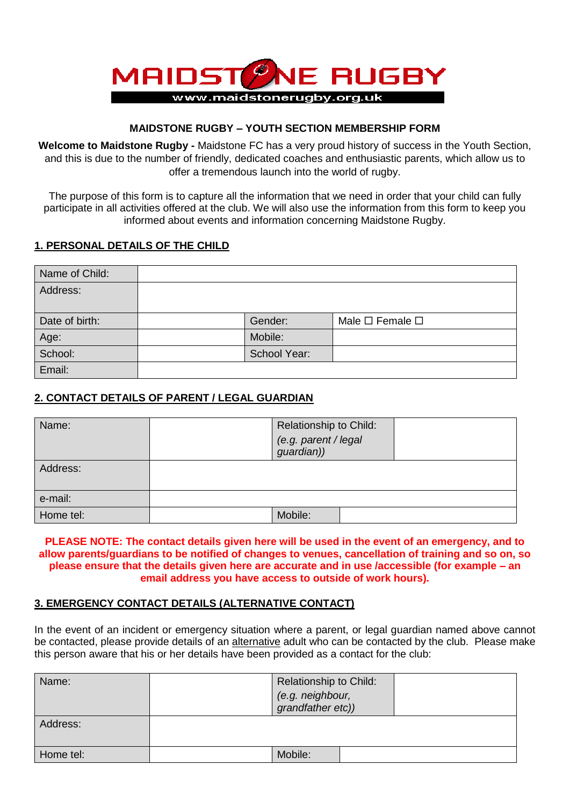

## **MAIDSTONE RUGBY – YOUTH SECTION MEMBERSHIP FORM**

**Welcome to Maidstone Rugby -** Maidstone FC has a very proud history of success in the Youth Section, and this is due to the number of friendly, dedicated coaches and enthusiastic parents, which allow us to offer a tremendous launch into the world of rugby.

The purpose of this form is to capture all the information that we need in order that your child can fully participate in all activities offered at the club. We will also use the information from this form to keep you informed about events and information concerning Maidstone Rugby.

## **1. PERSONAL DETAILS OF THE CHILD**

| Name of Child: |              |                                 |
|----------------|--------------|---------------------------------|
| Address:       |              |                                 |
|                |              |                                 |
| Date of birth: | Gender:      | Male $\square$ Female $\square$ |
| Age:           | Mobile:      |                                 |
| School:        | School Year: |                                 |
| Email:         |              |                                 |

## **2. CONTACT DETAILS OF PARENT / LEGAL GUARDIAN**

| Name:     | Relationship to Child:<br>(e.g. parent / legal<br>guardian)) |
|-----------|--------------------------------------------------------------|
| Address:  |                                                              |
| e-mail:   |                                                              |
| Home tel: | Mobile:                                                      |

**PLEASE NOTE: The contact details given here will be used in the event of an emergency, and to allow parents/guardians to be notified of changes to venues, cancellation of training and so on, so please ensure that the details given here are accurate and in use /accessible (for example – an email address you have access to outside of work hours).**

## **3. EMERGENCY CONTACT DETAILS (ALTERNATIVE CONTACT)**

In the event of an incident or emergency situation where a parent, or legal guardian named above cannot be contacted, please provide details of an alternative adult who can be contacted by the club. Please make this person aware that his or her details have been provided as a contact for the club:

| Name:     | Relationship to Child:<br>(e.g. neighbour,<br>grandfather etc)) |  |
|-----------|-----------------------------------------------------------------|--|
| Address:  |                                                                 |  |
| Home tel: | Mobile:                                                         |  |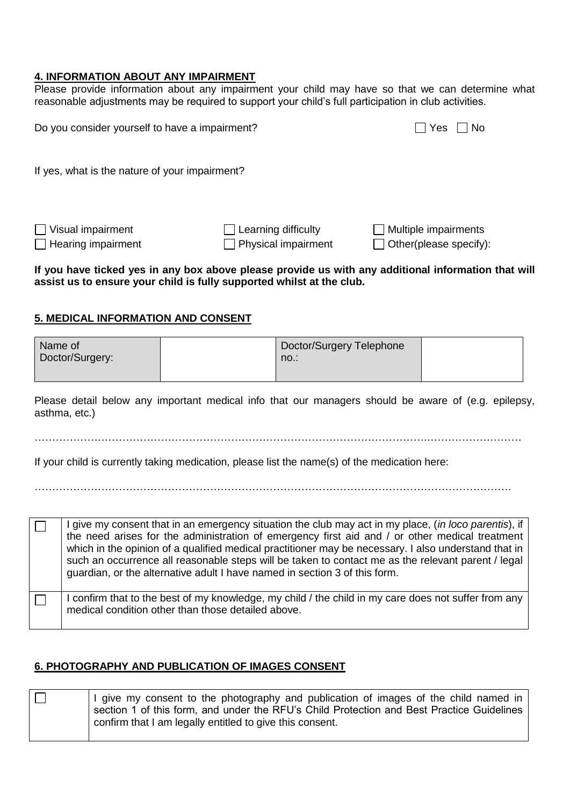### **4. INFORMATION ABOUT ANY IMPAIRMENT**

Please provide information about any impairment your child may have so that we can determine what reasonable adjustments may be required to support your child's full participation in club activities.

| Do you consider yourself to have a impairment?        |                                                          | Yes<br><b>No</b>                                             |
|-------------------------------------------------------|----------------------------------------------------------|--------------------------------------------------------------|
| If yes, what is the nature of your impairment?        |                                                          |                                                              |
| $\Box$ Visual impairment<br>$\Box$ Hearing impairment | $\Box$ Learning difficulty<br>$\Box$ Physical impairment | $\Box$ Multiple impairments<br>$\Box$ Other(please specify): |
|                                                       |                                                          |                                                              |

#### **If you have ticked yes in any box above please provide us with any additional information that will assist us to ensure your child is fully supported whilst at the club.**

#### **5. MEDICAL INFORMATION AND CONSENT**

| Name of         | Doctor/Surgery Telephone |  |
|-----------------|--------------------------|--|
| Doctor/Surgery: | no.:                     |  |
|                 |                          |  |

Please detail below any important medical info that our managers should be aware of (e.g. epilepsy, asthma, etc.)

………………………………………………………………………………………………….………………………

If your child is currently taking medication, please list the name(s) of the medication here:

……………………………………………………………………………………………………………………….

I give my consent that in an emergency situation the club may act in my place, (*in loco parentis*), if П the need arises for the administration of emergency first aid and / or other medical treatment which in the opinion of a qualified medical practitioner may be necessary. I also understand that in such an occurrence all reasonable steps will be taken to contact me as the relevant parent / legal guardian, or the alternative adult I have named in section 3 of this form. I confirm that to the best of my knowledge, my child / the child in my care does not suffer from any  $\Box$ 

#### **6. PHOTOGRAPHY AND PUBLICATION OF IMAGES CONSENT**

medical condition other than those detailed above.

 $\Box$ I give my consent to the photography and publication of images of the child named in section 1 of this form, and under the RFU's Child Protection and Best Practice Guidelines confirm that I am legally entitled to give this consent.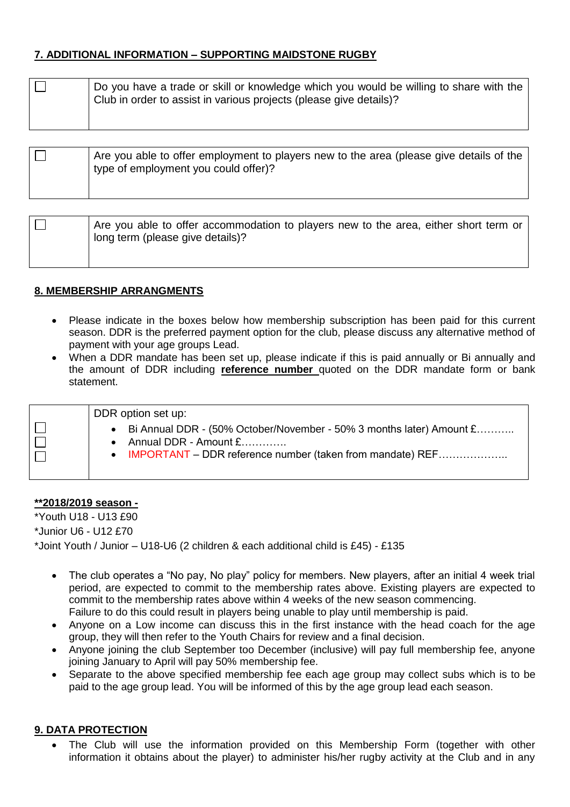# **7. ADDITIONAL INFORMATION – SUPPORTING MAIDSTONE RUGBY**

| Do you have a trade or skill or knowledge which you would be willing to share with the<br>Club in order to assist in various projects (please give details)? |
|--------------------------------------------------------------------------------------------------------------------------------------------------------------|
|                                                                                                                                                              |

| Are you able to offer accommodation to players new to the area, either short term or<br>l long term (please give details)? |
|----------------------------------------------------------------------------------------------------------------------------|
|                                                                                                                            |

## **8. MEMBERSHIP ARRANGMENTS**

- Please indicate in the boxes below how membership subscription has been paid for this current season. DDR is the preferred payment option for the club, please discuss any alternative method of payment with your age groups Lead.
- When a DDR mandate has been set up, please indicate if this is paid annually or Bi annually and the amount of DDR including **reference number** quoted on the DDR mandate form or bank statement.

| DDR option set up:                                                                                                                                           |
|--------------------------------------------------------------------------------------------------------------------------------------------------------------|
| Bi Annual DDR - (50% October/November - 50% 3 months later) Amount £<br>Annual DDR - Amount £<br>• IMPORTANT – DDR reference number (taken from mandate) REF |

#### **\*\*2018/2019 season -**

\*Youth U18 - U13 £90 \*Junior U6 - U12 £70 \*Joint Youth / Junior – U18-U6 (2 children & each additional child is £45) - £135

- The club operates a "No pay, No play" policy for members. New players, after an initial 4 week trial period, are expected to commit to the membership rates above. Existing players are expected to commit to the membership rates above within 4 weeks of the new season commencing. Failure to do this could result in players being unable to play until membership is paid.
- Anyone on a Low income can discuss this in the first instance with the head coach for the age group, they will then refer to the Youth Chairs for review and a final decision.
- Anyone joining the club September too December (inclusive) will pay full membership fee, anyone joining January to April will pay 50% membership fee.
- Separate to the above specified membership fee each age group may collect subs which is to be paid to the age group lead. You will be informed of this by the age group lead each season.

## **9. DATA PROTECTION**

 The Club will use the information provided on this Membership Form (together with other information it obtains about the player) to administer his/her rugby activity at the Club and in any